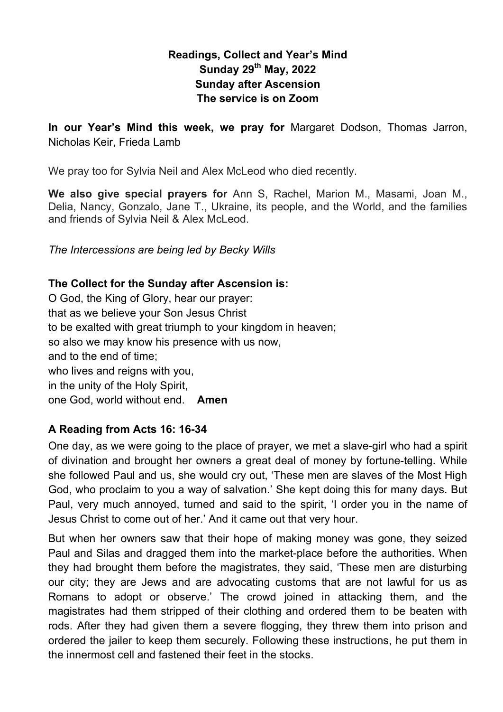## **Readings, Collect and Year's Mind Sunday 29th May, 2022 Sunday after Ascension The service is on Zoom**

**In our Year's Mind this week, we pray for** Margaret Dodson, Thomas Jarron, Nicholas Keir, Frieda Lamb

We pray too for Sylvia Neil and Alex McLeod who died recently.

**We also give special prayers for** Ann S, Rachel, Marion M., Masami, Joan M., Delia, Nancy, Gonzalo, Jane T., Ukraine, its people, and the World, and the families and friends of Sylvia Neil & Alex McLeod.

*The Intercessions are being led by Becky Wills*

### **The Collect for the Sunday after Ascension is:**

O God, the King of Glory, hear our prayer: that as we believe your Son Jesus Christ to be exalted with great triumph to your kingdom in heaven; so also we may know his presence with us now, and to the end of time; who lives and reigns with you. in the unity of the Holy Spirit, one God, world without end. **Amen**

## **A Reading from Acts 16: 16-34**

One day, as we were going to the place of prayer, we met a slave-girl who had a spirit of divination and brought her owners a great deal of money by fortune-telling. While she followed Paul and us, she would cry out, 'These men are slaves of the Most High God, who proclaim to you a way of salvation.' She kept doing this for many days. But Paul, very much annoyed, turned and said to the spirit, 'I order you in the name of Jesus Christ to come out of her.' And it came out that very hour.

But when her owners saw that their hope of making money was gone, they seized Paul and Silas and dragged them into the market-place before the authorities. When they had brought them before the magistrates, they said, 'These men are disturbing our city; they are Jews and are advocating customs that are not lawful for us as Romans to adopt or observe.' The crowd joined in attacking them, and the magistrates had them stripped of their clothing and ordered them to be beaten with rods. After they had given them a severe flogging, they threw them into prison and ordered the jailer to keep them securely. Following these instructions, he put them in the innermost cell and fastened their feet in the stocks.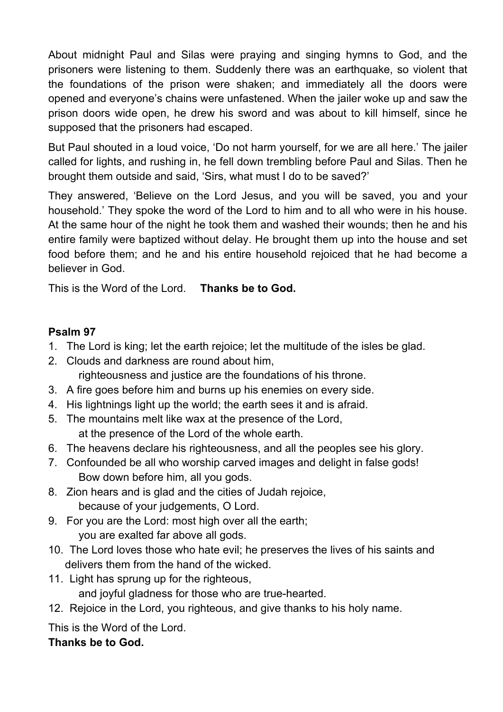About midnight Paul and Silas were praying and singing hymns to God, and the prisoners were listening to them. Suddenly there was an earthquake, so violent that the foundations of the prison were shaken; and immediately all the doors were opened and everyone's chains were unfastened. When the jailer woke up and saw the prison doors wide open, he drew his sword and was about to kill himself, since he supposed that the prisoners had escaped.

But Paul shouted in a loud voice, 'Do not harm yourself, for we are all here.' The jailer called for lights, and rushing in, he fell down trembling before Paul and Silas. Then he brought them outside and said, 'Sirs, what must I do to be saved?'

They answered, 'Believe on the Lord Jesus, and you will be saved, you and your household.' They spoke the word of the Lord to him and to all who were in his house. At the same hour of the night he took them and washed their wounds; then he and his entire family were baptized without delay. He brought them up into the house and set food before them; and he and his entire household rejoiced that he had become a believer in God.

This is the Word of the Lord. **Thanks be to God.**

## **Psalm 97**

- 1. The Lord is king; let the earth rejoice; let the multitude of the isles be glad.
- 2. Clouds and darkness are round about him, righteousness and justice are the foundations of his throne.
- 3. A fire goes before him and burns up his enemies on every side.
- 4. His lightnings light up the world; the earth sees it and is afraid.
- 5. The mountains melt like wax at the presence of the Lord, at the presence of the Lord of the whole earth.
- 6. The heavens declare his righteousness, and all the peoples see his glory.
- 7. Confounded be all who worship carved images and delight in false gods! Bow down before him, all you gods.
- 8. Zion hears and is glad and the cities of Judah rejoice, because of your judgements, O Lord.
- 9. For you are the Lord: most high over all the earth; you are exalted far above all gods.
- 10. The Lord loves those who hate evil; he preserves the lives of his saints and delivers them from the hand of the wicked.
- 11. Light has sprung up for the righteous, and joyful gladness for those who are true-hearted.
- 12. Rejoice in the Lord, you righteous, and give thanks to his holy name.

This is the Word of the Lord.

# **Thanks be to God.**